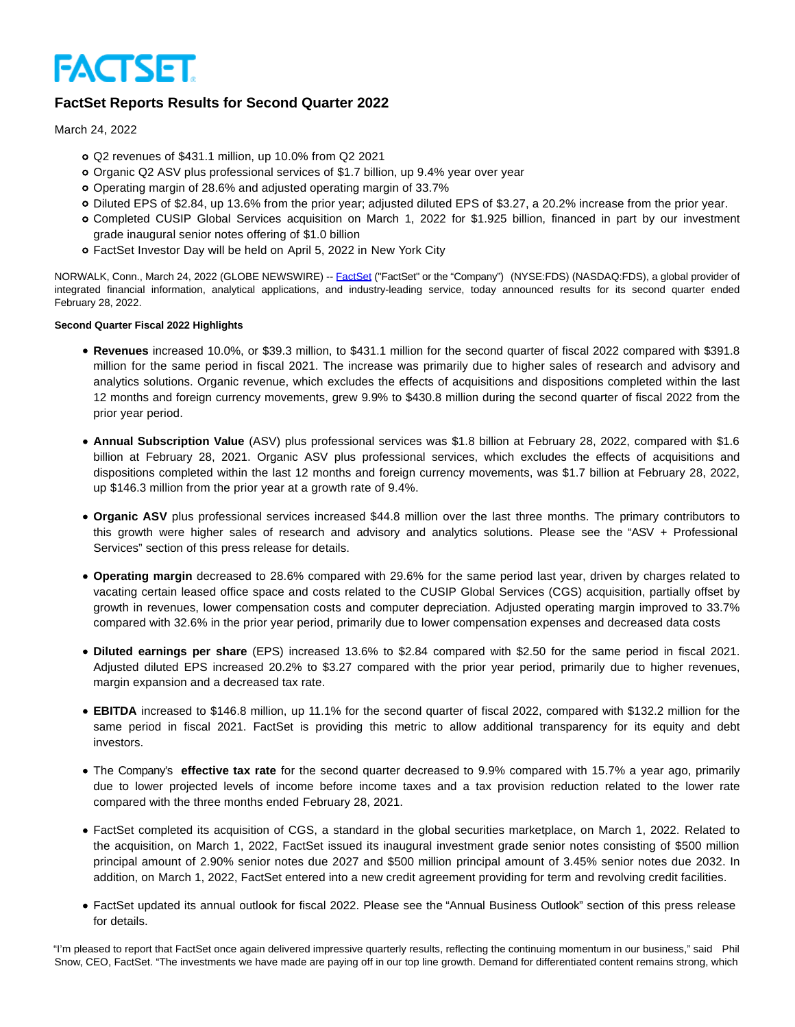

# **FactSet Reports Results for Second Quarter 2022**

March 24, 2022

- Q2 revenues of \$431.1 million, up 10.0% from Q2 2021
- Organic Q2 ASV plus professional services of \$1.7 billion, up 9.4% year over year
- Operating margin of 28.6% and adjusted operating margin of 33.7%
- Diluted EPS of \$2.84, up 13.6% from the prior year; adjusted diluted EPS of \$3.27, a 20.2% increase from the prior year.
- Completed CUSIP Global Services acquisition on March 1, 2022 for \$1.925 billion, financed in part by our investment grade inaugural senior notes offering of \$1.0 billion
- FactSet Investor Day will be held on April 5, 2022 in New York City

NORWALK, Conn., March 24, 2022 (GLOBE NEWSWIRE) -- [FactSet \(](https://www.globenewswire.com/Tracker?data=8mUPC_IB65bpOAIcuyAUkIGhaSJSy7_QVdh1IiENNq68iveGbBLcShSDf6W-SsWCtquCpe_ESryk-RtpYACpUQ==)"FactSet" or the "Company") (NYSE:FDS) (NASDAQ:FDS), a global provider of integrated financial information, analytical applications, and industry-leading service, today announced results for its second quarter ended February 28, 2022.

## **Second Quarter Fiscal 2022 Highlights**

- **Revenues** increased 10.0%, or \$39.3 million, to \$431.1 million for the second quarter of fiscal 2022 compared with \$391.8 million for the same period in fiscal 2021. The increase was primarily due to higher sales of research and advisory and analytics solutions. Organic revenue, which excludes the effects of acquisitions and dispositions completed within the last 12 months and foreign currency movements, grew 9.9% to \$430.8 million during the second quarter of fiscal 2022 from the prior year period.
- **Annual Subscription Value** (ASV) plus professional services was \$1.8 billion at February 28, 2022, compared with \$1.6 billion at February 28, 2021. Organic ASV plus professional services, which excludes the effects of acquisitions and dispositions completed within the last 12 months and foreign currency movements, was \$1.7 billion at February 28, 2022, up \$146.3 million from the prior year at a growth rate of 9.4%.
- **Organic ASV** plus professional services increased \$44.8 million over the last three months. The primary contributors to this growth were higher sales of research and advisory and analytics solutions. Please see the "ASV + Professional Services" section of this press release for details.
- **Operating margin** decreased to 28.6% compared with 29.6% for the same period last year, driven by charges related to vacating certain leased office space and costs related to the CUSIP Global Services (CGS) acquisition, partially offset by growth in revenues, lower compensation costs and computer depreciation. Adjusted operating margin improved to 33.7% compared with 32.6% in the prior year period, primarily due to lower compensation expenses and decreased data costs
- **Diluted earnings per share** (EPS) increased 13.6% to \$2.84 compared with \$2.50 for the same period in fiscal 2021. Adjusted diluted EPS increased 20.2% to \$3.27 compared with the prior year period, primarily due to higher revenues, margin expansion and a decreased tax rate.
- **EBITDA** increased to \$146.8 million, up 11.1% for the second quarter of fiscal 2022, compared with \$132.2 million for the same period in fiscal 2021. FactSet is providing this metric to allow additional transparency for its equity and debt investors.
- The Company's **effective tax rate** for the second quarter decreased to 9.9% compared with 15.7% a year ago, primarily due to lower projected levels of income before income taxes and a tax provision reduction related to the lower rate compared with the three months ended February 28, 2021.
- FactSet completed its acquisition of CGS, a standard in the global securities marketplace, on March 1, 2022. Related to the acquisition, on March 1, 2022, FactSet issued its inaugural investment grade senior notes consisting of \$500 million principal amount of 2.90% senior notes due 2027 and \$500 million principal amount of 3.45% senior notes due 2032. In addition, on March 1, 2022, FactSet entered into a new credit agreement providing for term and revolving credit facilities.
- FactSet updated its annual outlook for fiscal 2022. Please see the "Annual Business Outlook" section of this press release for details.

"I'm pleased to report that FactSet once again delivered impressive quarterly results, reflecting the continuing momentum in our business," said Phil Snow, CEO, FactSet. "The investments we have made are paying off in our top line growth. Demand for differentiated content remains strong, which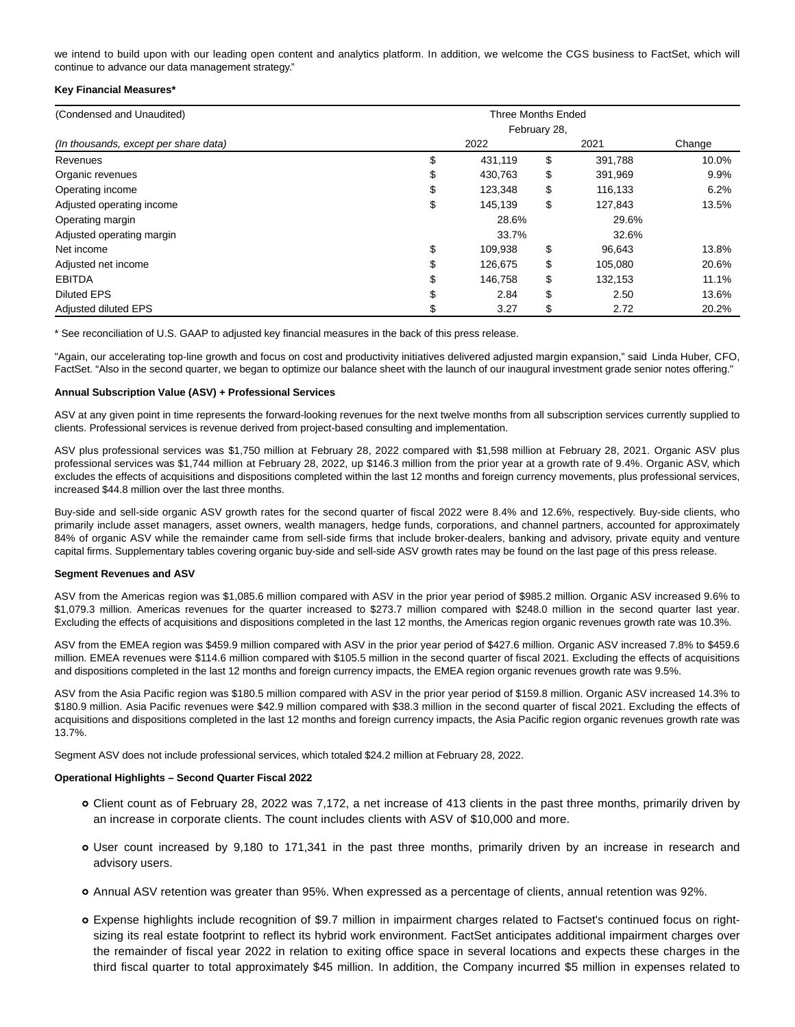we intend to build upon with our leading open content and analytics platform. In addition, we welcome the CGS business to FactSet, which will continue to advance our data management strategy."

#### **Key Financial Measures\***

| (Condensed and Unaudited)             | <b>Three Months Ended</b> |         |              |         |        |  |  |  |
|---------------------------------------|---------------------------|---------|--------------|---------|--------|--|--|--|
|                                       |                           |         | February 28, |         |        |  |  |  |
| (In thousands, except per share data) |                           | 2022    |              | 2021    | Change |  |  |  |
| Revenues                              | \$                        | 431,119 | \$           | 391,788 | 10.0%  |  |  |  |
| Organic revenues                      | C                         | 430,763 | \$           | 391,969 | 9.9%   |  |  |  |
| Operating income                      | S                         | 123,348 | \$           | 116,133 | 6.2%   |  |  |  |
| Adjusted operating income             | \$                        | 145,139 | \$           | 127.843 | 13.5%  |  |  |  |
| Operating margin                      |                           | 28.6%   |              | 29.6%   |        |  |  |  |
| Adjusted operating margin             |                           | 33.7%   |              | 32.6%   |        |  |  |  |
| Net income                            | \$                        | 109,938 | \$           | 96,643  | 13.8%  |  |  |  |
| Adjusted net income                   |                           | 126.675 | \$           | 105.080 | 20.6%  |  |  |  |
| <b>EBITDA</b>                         | S                         | 146,758 | \$           | 132,153 | 11.1%  |  |  |  |
| <b>Diluted EPS</b>                    |                           | 2.84    | \$           | 2.50    | 13.6%  |  |  |  |
| Adjusted diluted EPS                  |                           | 3.27    | \$           | 2.72    | 20.2%  |  |  |  |

\* See reconciliation of U.S. GAAP to adjusted key financial measures in the back of this press release.

"Again, our accelerating top-line growth and focus on cost and productivity initiatives delivered adjusted margin expansion," said Linda Huber, CFO, FactSet. "Also in the second quarter, we began to optimize our balance sheet with the launch of our inaugural investment grade senior notes offering."

#### **Annual Subscription Value (ASV) + Professional Services**

ASV at any given point in time represents the forward-looking revenues for the next twelve months from all subscription services currently supplied to clients. Professional services is revenue derived from project-based consulting and implementation.

ASV plus professional services was \$1,750 million at February 28, 2022 compared with \$1,598 million at February 28, 2021. Organic ASV plus professional services was \$1,744 million at February 28, 2022, up \$146.3 million from the prior year at a growth rate of 9.4%. Organic ASV, which excludes the effects of acquisitions and dispositions completed within the last 12 months and foreign currency movements, plus professional services, increased \$44.8 million over the last three months.

Buy-side and sell-side organic ASV growth rates for the second quarter of fiscal 2022 were 8.4% and 12.6%, respectively. Buy-side clients, who primarily include asset managers, asset owners, wealth managers, hedge funds, corporations, and channel partners, accounted for approximately 84% of organic ASV while the remainder came from sell-side firms that include broker-dealers, banking and advisory, private equity and venture capital firms. Supplementary tables covering organic buy-side and sell-side ASV growth rates may be found on the last page of this press release.

#### **Segment Revenues and ASV**

ASV from the Americas region was \$1,085.6 million compared with ASV in the prior year period of \$985.2 million. Organic ASV increased 9.6% to \$1,079.3 million. Americas revenues for the quarter increased to \$273.7 million compared with \$248.0 million in the second quarter last year. Excluding the effects of acquisitions and dispositions completed in the last 12 months, the Americas region organic revenues growth rate was 10.3%.

ASV from the EMEA region was \$459.9 million compared with ASV in the prior year period of \$427.6 million. Organic ASV increased 7.8% to \$459.6 million. EMEA revenues were \$114.6 million compared with \$105.5 million in the second quarter of fiscal 2021. Excluding the effects of acquisitions and dispositions completed in the last 12 months and foreign currency impacts, the EMEA region organic revenues growth rate was 9.5%.

ASV from the Asia Pacific region was \$180.5 million compared with ASV in the prior year period of \$159.8 million. Organic ASV increased 14.3% to \$180.9 million. Asia Pacific revenues were \$42.9 million compared with \$38.3 million in the second quarter of fiscal 2021. Excluding the effects of acquisitions and dispositions completed in the last 12 months and foreign currency impacts, the Asia Pacific region organic revenues growth rate was 13.7%.

Segment ASV does not include professional services, which totaled \$24.2 million at February 28, 2022.

## **Operational Highlights – Second Quarter Fiscal 2022**

- Client count as of February 28, 2022 was 7,172, a net increase of 413 clients in the past three months, primarily driven by an increase in corporate clients. The count includes clients with ASV of \$10,000 and more.
- User count increased by 9,180 to 171,341 in the past three months, primarily driven by an increase in research and advisory users.
- Annual ASV retention was greater than 95%. When expressed as a percentage of clients, annual retention was 92%.
- Expense highlights include recognition of \$9.7 million in impairment charges related to Factset's continued focus on rightsizing its real estate footprint to reflect its hybrid work environment. FactSet anticipates additional impairment charges over the remainder of fiscal year 2022 in relation to exiting office space in several locations and expects these charges in the third fiscal quarter to total approximately \$45 million. In addition, the Company incurred \$5 million in expenses related to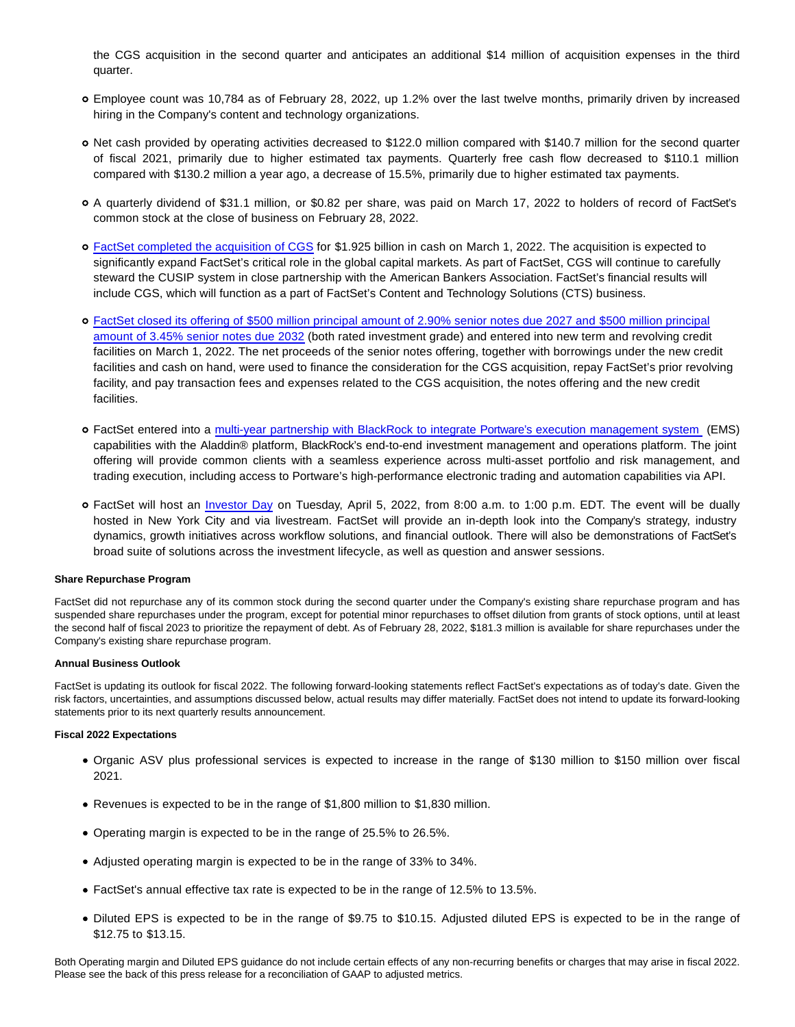the CGS acquisition in the second quarter and anticipates an additional \$14 million of acquisition expenses in the third quarter.

- Employee count was 10,784 as of February 28, 2022, up 1.2% over the last twelve months, primarily driven by increased hiring in the Company's content and technology organizations.
- Net cash provided by operating activities decreased to \$122.0 million compared with \$140.7 million for the second quarter of fiscal 2021, primarily due to higher estimated tax payments. Quarterly free cash flow decreased to \$110.1 million compared with \$130.2 million a year ago, a decrease of 15.5%, primarily due to higher estimated tax payments.
- A quarterly dividend of \$31.1 million, or \$0.82 per share, was paid on March 17, 2022 to holders of record of FactSet's common stock at the close of business on February 28, 2022.
- [FactSet completed the acquisition of CGS](https://investor.factset.com/news-releases/news-release-details/factset-completes-acquisition-cusip-global-services) for \$1.925 billion in cash on March 1, 2022. The acquisition is expected to significantly expand FactSet's critical role in the global capital markets. As part of FactSet, CGS will continue to carefully steward the CUSIP system in close partnership with the American Bankers Association. FactSet's financial results will include CGS, which will function as a part of FactSet's Content and Technology Solutions (CTS) business.
- [FactSet closed its offering of \\$500 million principal amount of 2.90% senior notes due 2027 and \\$500 million principal](https://investor.factset.com/news-releases/news-release-details/factset-completes-acquisition-cusip-global-services) amount of 3.45% senior notes due 2032 (both rated investment grade) and entered into new term and revolving credit facilities on March 1, 2022. The net proceeds of the senior notes offering, together with borrowings under the new credit facilities and cash on hand, were used to finance the consideration for the CGS acquisition, repay FactSet's prior revolving facility, and pay transaction fees and expenses related to the CGS acquisition, the notes offering and the new credit facilities.
- FactSet entered into a [multi-year partnership with BlackRock to integrate Portware's execution management system](https://investor.factset.com/news-releases/news-release-details/factset-and-blackrock-now-partnering-offer-portwares-ems) (EMS) capabilities with the Aladdin® platform, BlackRock's end-to-end investment management and operations platform. The joint offering will provide common clients with a seamless experience across multi-asset portfolio and risk management, and trading execution, including access to Portware's high-performance electronic trading and automation capabilities via API.
- FactSet will host an [Investor Day](https://investor.factset.com/news-releases/news-release-details/factset-announces-2022-investor-day) on Tuesday, April 5, 2022, from 8:00 a.m. to 1:00 p.m. EDT. The event will be dually hosted in New York City and via livestream. FactSet will provide an in-depth look into the Company's strategy, industry dynamics, growth initiatives across workflow solutions, and financial outlook. There will also be demonstrations of FactSet's broad suite of solutions across the investment lifecycle, as well as question and answer sessions.

## **Share Repurchase Program**

FactSet did not repurchase any of its common stock during the second quarter under the Company's existing share repurchase program and has suspended share repurchases under the program, except for potential minor repurchases to offset dilution from grants of stock options, until at least the second half of fiscal 2023 to prioritize the repayment of debt. As of February 28, 2022, \$181.3 million is available for share repurchases under the Company's existing share repurchase program.

## **Annual Business Outlook**

FactSet is updating its outlook for fiscal 2022. The following forward-looking statements reflect FactSet's expectations as of today's date. Given the risk factors, uncertainties, and assumptions discussed below, actual results may differ materially. FactSet does not intend to update its forward-looking statements prior to its next quarterly results announcement.

## **Fiscal 2022 Expectations**

- Organic ASV plus professional services is expected to increase in the range of \$130 million to \$150 million over fiscal 2021.
- Revenues is expected to be in the range of \$1,800 million to \$1,830 million.
- Operating margin is expected to be in the range of 25.5% to 26.5%.
- Adjusted operating margin is expected to be in the range of 33% to 34%.
- FactSet's annual effective tax rate is expected to be in the range of 12.5% to 13.5%.
- Diluted EPS is expected to be in the range of \$9.75 to \$10.15. Adjusted diluted EPS is expected to be in the range of \$12.75 to \$13.15.

Both Operating margin and Diluted EPS guidance do not include certain effects of any non-recurring benefits or charges that may arise in fiscal 2022. Please see the back of this press release for a reconciliation of GAAP to adjusted metrics.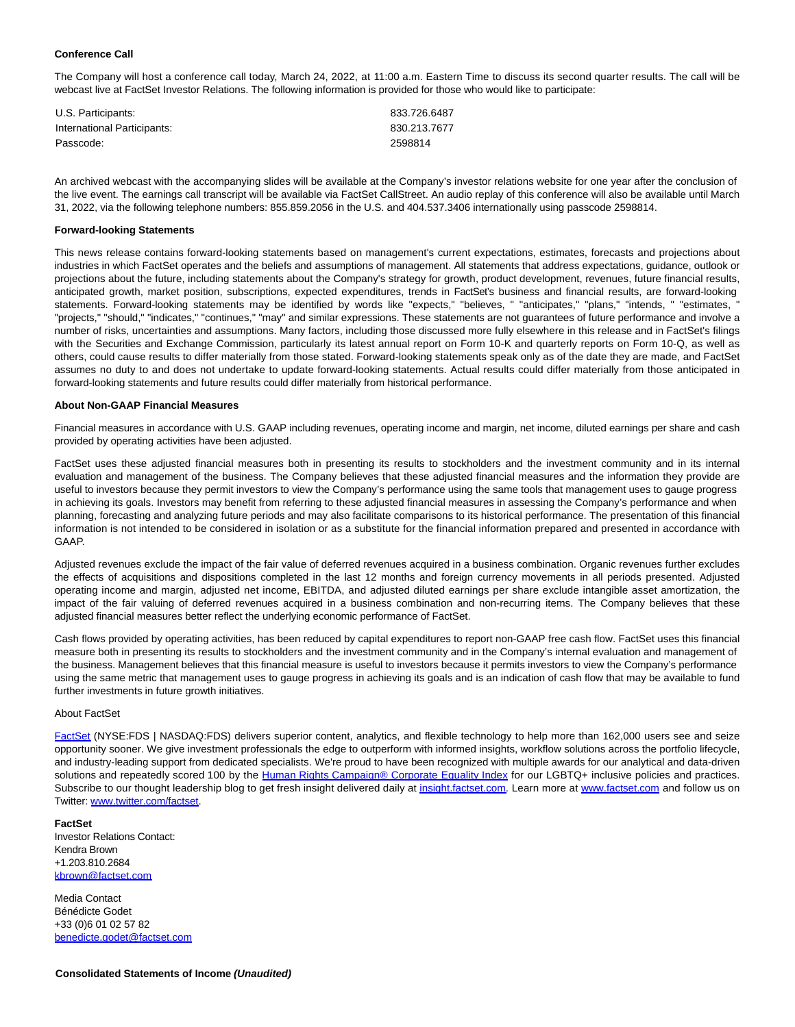## **Conference Call**

The Company will host a conference call today, March 24, 2022, at 11:00 a.m. Eastern Time to discuss its second quarter results. The call will be webcast live at FactSet Investor Relations. The following information is provided for those who would like to participate:

| U.S. Participants:          | 833.726.6487 |
|-----------------------------|--------------|
| International Participants: | 830.213.7677 |
| Passcode:                   | 2598814      |

An archived webcast with the accompanying slides will be available at the Company's investor relations website for one year after the conclusion of the live event. The earnings call transcript will be available via FactSet CallStreet. An audio replay of this conference will also be available until March 31, 2022, via the following telephone numbers: 855.859.2056 in the U.S. and 404.537.3406 internationally using passcode 2598814.

#### **Forward-looking Statements**

This news release contains forward-looking statements based on management's current expectations, estimates, forecasts and projections about industries in which FactSet operates and the beliefs and assumptions of management. All statements that address expectations, guidance, outlook or projections about the future, including statements about the Company's strategy for growth, product development, revenues, future financial results, anticipated growth, market position, subscriptions, expected expenditures, trends in FactSet's business and financial results, are forward-looking statements. Forward-looking statements may be identified by words like "expects," "believes, " "anticipates," "plans," "intends, " "estimates, " "projects," "should," "indicates," "continues," "may" and similar expressions. These statements are not guarantees of future performance and involve a number of risks, uncertainties and assumptions. Many factors, including those discussed more fully elsewhere in this release and in FactSet's filings with the Securities and Exchange Commission, particularly its latest annual report on Form 10-K and quarterly reports on Form 10-Q, as well as others, could cause results to differ materially from those stated. Forward-looking statements speak only as of the date they are made, and FactSet assumes no duty to and does not undertake to update forward-looking statements. Actual results could differ materially from those anticipated in forward-looking statements and future results could differ materially from historical performance.

#### **About Non-GAAP Financial Measures**

Financial measures in accordance with U.S. GAAP including revenues, operating income and margin, net income, diluted earnings per share and cash provided by operating activities have been adjusted.

FactSet uses these adjusted financial measures both in presenting its results to stockholders and the investment community and in its internal evaluation and management of the business. The Company believes that these adjusted financial measures and the information they provide are useful to investors because they permit investors to view the Company's performance using the same tools that management uses to gauge progress in achieving its goals. Investors may benefit from referring to these adjusted financial measures in assessing the Company's performance and when planning, forecasting and analyzing future periods and may also facilitate comparisons to its historical performance. The presentation of this financial information is not intended to be considered in isolation or as a substitute for the financial information prepared and presented in accordance with GAAP.

Adjusted revenues exclude the impact of the fair value of deferred revenues acquired in a business combination. Organic revenues further excludes the effects of acquisitions and dispositions completed in the last 12 months and foreign currency movements in all periods presented. Adjusted operating income and margin, adjusted net income, EBITDA, and adjusted diluted earnings per share exclude intangible asset amortization, the impact of the fair valuing of deferred revenues acquired in a business combination and non-recurring items. The Company believes that these adjusted financial measures better reflect the underlying economic performance of FactSet.

Cash flows provided by operating activities, has been reduced by capital expenditures to report non-GAAP free cash flow. FactSet uses this financial measure both in presenting its results to stockholders and the investment community and in the Company's internal evaluation and management of the business. Management believes that this financial measure is useful to investors because it permits investors to view the Company's performance using the same metric that management uses to gauge progress in achieving its goals and is an indication of cash flow that may be available to fund further investments in future growth initiatives.

#### About FactSet

[FactSet \(](https://www.globenewswire.com/Tracker?data=8mUPC_IB65bpOAIcuyAUkD9358dtGWw1F5hg6XQi32QvLy8vLcd5hjk2MSuuAe3DJhhrr2-wHE_5KOLo7EcwZg==)NYSE:FDS | NASDAQ:FDS) delivers superior content, analytics, and flexible technology to help more than 162,000 users see and seize opportunity sooner. We give investment professionals the edge to outperform with informed insights, workflow solutions across the portfolio lifecycle, and industry-leading support from dedicated specialists. We're proud to have been recognized with multiple awards for our analytical and data-driven solutions and repeatedly scored 100 by the [Human Rights Campaign® Corporate Equality Index f](https://www.globenewswire.com/Tracker?data=2Wa_0I7FxBlVP8HiuaUwwMuNLZuhxuQsoODmr8MLstiB5MRPf6kRhHIqu7cvJ7f1SiOsK8SgWVoVYBbL5LgJPHkQmF1ACGzSAMCETnIBVg-pn7-oKNK-2UNp4rt4wMqCpitWQuZMtRv21WPcnv7IbFZC8NnjHPcdN0k7Vz37CpU=)or our LGBTQ+ inclusive policies and practices. Subscribe to our thought leadership blog to get fresh insight delivered daily at *insight.factset.com*. Learn more at [www.factset.com a](https://www.globenewswire.com/Tracker?data=YWaKEdnT95Rbrbyaj8DrlOl-PlxqiA5OdVfyHsCKU3rutqUjf1YAMqdiMZEc2CCZasZVX7vRkg1C3m_9cPHbuQ==)nd follow us on Twitter: [www.twitter.com/factset.](https://www.globenewswire.com/Tracker?data=juJbjFq_-rBoiiP7QwCReEZd_OI6uo1NUT0ua-cuIvIqjF12SY4oChuCY9r0VtRd2wYRiLhxj6Z5J2-VwrfBF9EkSEqfSWMpxo16Zp8umls=)

#### **FactSet**

Investor Relations Contact: Kendra Brown +1.203.810.2684 [kbrown@factset.com](https://www.globenewswire.com/Tracker?data=sElQTD1tyzkXIP0YmE3h_ETPs0pq80F4BY34ypkhZocV7qTFeq7GwB2MBNAyRaXaf2d_ef8A7Umjlc99hkh96XY9dwLL_mDLI8vv0a0tlA8=)

Media Contact Bénédicte Godet +33 (0)6 01 02 57 82 [benedicte.godet@factset.com](https://www.globenewswire.com/Tracker?data=4Otl61QJxVPa17P8vh3oYgJbeqmNiBRiFeWdrFOHfk4rx0BjckpiJpOJi0-gOz8DZHUPOI9aMkiRE-uYu8DrhObvAJqVn0vM_CFHOiSSw5lqWH5xtdfpjr2BVuiZu2Et)

**Consolidated Statements of Income (Unaudited)**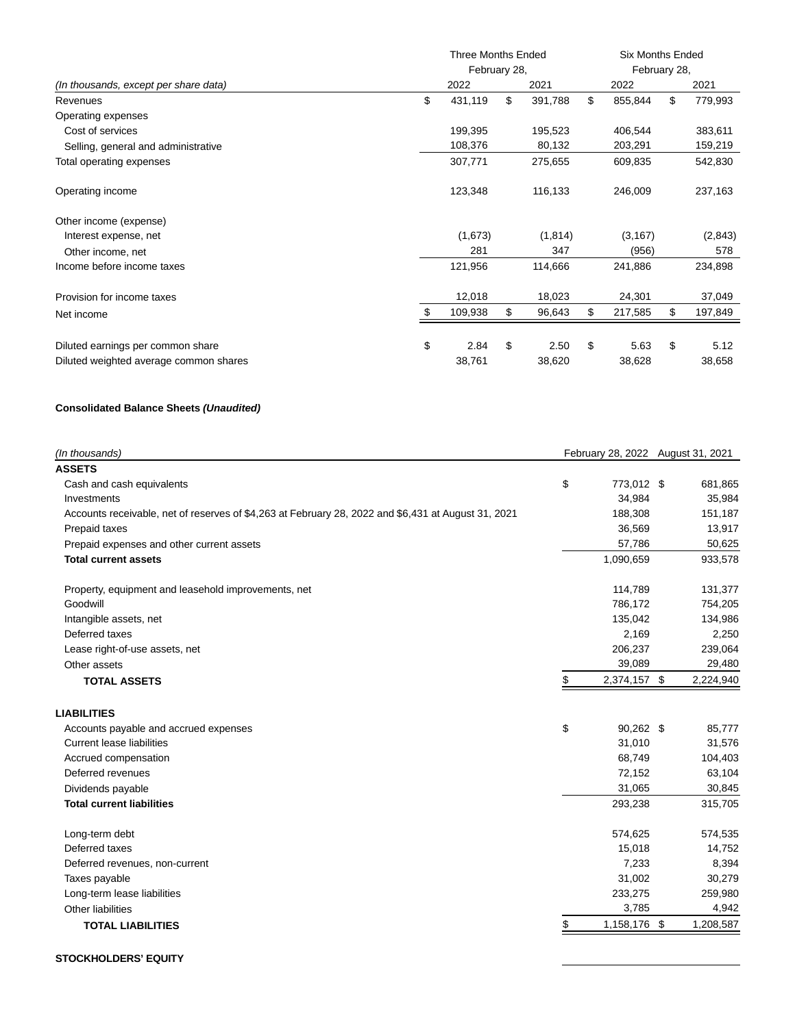|                                        | Three Months Ended |    |          |              | Six Months Ended |      |         |  |
|----------------------------------------|--------------------|----|----------|--------------|------------------|------|---------|--|
|                                        | February 28,       |    |          | February 28, |                  |      |         |  |
| (In thousands, except per share data)  | 2022               |    | 2021     |              | 2022             | 2021 |         |  |
| Revenues                               | \$<br>431,119      | \$ | 391,788  | \$           | 855,844          | \$   | 779,993 |  |
| Operating expenses                     |                    |    |          |              |                  |      |         |  |
| Cost of services                       | 199,395            |    | 195,523  |              | 406,544          |      | 383,611 |  |
| Selling, general and administrative    | 108,376            |    | 80,132   |              | 203,291          |      | 159,219 |  |
| Total operating expenses               | 307,771            |    | 275,655  |              | 609,835          |      | 542,830 |  |
| Operating income                       | 123,348            |    | 116,133  |              | 246,009          |      | 237,163 |  |
| Other income (expense)                 |                    |    |          |              |                  |      |         |  |
| Interest expense, net                  | (1,673)            |    | (1, 814) |              | (3, 167)         |      | (2,843) |  |
| Other income, net                      | 281                |    | 347      |              | (956)            |      | 578     |  |
| Income before income taxes             | 121,956            |    | 114,666  |              | 241,886          |      | 234,898 |  |
| Provision for income taxes             | 12,018             |    | 18,023   |              | 24,301           |      | 37,049  |  |
| Net income                             | 109,938            | \$ | 96,643   | \$           | 217,585          | \$   | 197,849 |  |
| Diluted earnings per common share      | \$<br>2.84         | \$ | 2.50     | \$           | 5.63             | \$   | 5.12    |  |
| Diluted weighted average common shares | 38,761             |    | 38,620   |              | 38,628           |      | 38,658  |  |

## **Consolidated Balance Sheets (Unaudited)**

| \$<br>773,012 \$<br>681,865<br>Cash and cash equivalents<br>34,984<br>35,984<br>Investments<br>Accounts receivable, net of reserves of \$4,263 at February 28, 2022 and \$6,431 at August 31, 2021<br>188,308<br>151,187<br>Prepaid taxes<br>36,569<br>13,917<br>57,786<br>50,625<br>Prepaid expenses and other current assets<br>1,090,659<br><b>Total current assets</b><br>933,578<br>114,789<br>131,377<br>Property, equipment and leasehold improvements, net<br>Goodwill<br>786,172<br>754,205<br>135,042<br>Intangible assets, net<br>134,986<br>Deferred taxes<br>2,169<br>2,250<br>206,237<br>239,064<br>Lease right-of-use assets, net<br>39,089<br>29,480<br>Other assets<br>2,224,940<br>2,374,157 \$<br>\$<br><b>TOTAL ASSETS</b><br>\$<br>90,262 \$<br>85,777<br>Accounts payable and accrued expenses<br>31,010<br><b>Current lease liabilities</b><br>31,576<br>68,749<br>Accrued compensation<br>104,403<br>72,152<br>63,104<br>Deferred revenues<br>31,065<br>30,845<br>Dividends payable<br><b>Total current liabilities</b><br>293,238<br>315,705<br>Long-term debt<br>574,625<br>574,535<br>Deferred taxes<br>15,018<br>14,752<br>7,233<br>Deferred revenues, non-current<br>8,394<br>31,002<br>Taxes payable<br>30,279<br>233,275<br>259,980<br>Long-term lease liabilities<br>3,785<br>Other liabilities<br>4,942<br>\$<br>1,158,176 \$<br>1,208,587<br><b>TOTAL LIABILITIES</b> | (In thousands)     | February 28, 2022 August 31, 2021 |  |  |  |
|---------------------------------------------------------------------------------------------------------------------------------------------------------------------------------------------------------------------------------------------------------------------------------------------------------------------------------------------------------------------------------------------------------------------------------------------------------------------------------------------------------------------------------------------------------------------------------------------------------------------------------------------------------------------------------------------------------------------------------------------------------------------------------------------------------------------------------------------------------------------------------------------------------------------------------------------------------------------------------------------------------------------------------------------------------------------------------------------------------------------------------------------------------------------------------------------------------------------------------------------------------------------------------------------------------------------------------------------------------------------------------------------------------|--------------------|-----------------------------------|--|--|--|
|                                                                                                                                                                                                                                                                                                                                                                                                                                                                                                                                                                                                                                                                                                                                                                                                                                                                                                                                                                                                                                                                                                                                                                                                                                                                                                                                                                                                         | <b>ASSETS</b>      |                                   |  |  |  |
|                                                                                                                                                                                                                                                                                                                                                                                                                                                                                                                                                                                                                                                                                                                                                                                                                                                                                                                                                                                                                                                                                                                                                                                                                                                                                                                                                                                                         |                    |                                   |  |  |  |
|                                                                                                                                                                                                                                                                                                                                                                                                                                                                                                                                                                                                                                                                                                                                                                                                                                                                                                                                                                                                                                                                                                                                                                                                                                                                                                                                                                                                         |                    |                                   |  |  |  |
|                                                                                                                                                                                                                                                                                                                                                                                                                                                                                                                                                                                                                                                                                                                                                                                                                                                                                                                                                                                                                                                                                                                                                                                                                                                                                                                                                                                                         |                    |                                   |  |  |  |
|                                                                                                                                                                                                                                                                                                                                                                                                                                                                                                                                                                                                                                                                                                                                                                                                                                                                                                                                                                                                                                                                                                                                                                                                                                                                                                                                                                                                         |                    |                                   |  |  |  |
|                                                                                                                                                                                                                                                                                                                                                                                                                                                                                                                                                                                                                                                                                                                                                                                                                                                                                                                                                                                                                                                                                                                                                                                                                                                                                                                                                                                                         |                    |                                   |  |  |  |
|                                                                                                                                                                                                                                                                                                                                                                                                                                                                                                                                                                                                                                                                                                                                                                                                                                                                                                                                                                                                                                                                                                                                                                                                                                                                                                                                                                                                         |                    |                                   |  |  |  |
|                                                                                                                                                                                                                                                                                                                                                                                                                                                                                                                                                                                                                                                                                                                                                                                                                                                                                                                                                                                                                                                                                                                                                                                                                                                                                                                                                                                                         |                    |                                   |  |  |  |
|                                                                                                                                                                                                                                                                                                                                                                                                                                                                                                                                                                                                                                                                                                                                                                                                                                                                                                                                                                                                                                                                                                                                                                                                                                                                                                                                                                                                         |                    |                                   |  |  |  |
|                                                                                                                                                                                                                                                                                                                                                                                                                                                                                                                                                                                                                                                                                                                                                                                                                                                                                                                                                                                                                                                                                                                                                                                                                                                                                                                                                                                                         |                    |                                   |  |  |  |
|                                                                                                                                                                                                                                                                                                                                                                                                                                                                                                                                                                                                                                                                                                                                                                                                                                                                                                                                                                                                                                                                                                                                                                                                                                                                                                                                                                                                         |                    |                                   |  |  |  |
|                                                                                                                                                                                                                                                                                                                                                                                                                                                                                                                                                                                                                                                                                                                                                                                                                                                                                                                                                                                                                                                                                                                                                                                                                                                                                                                                                                                                         |                    |                                   |  |  |  |
|                                                                                                                                                                                                                                                                                                                                                                                                                                                                                                                                                                                                                                                                                                                                                                                                                                                                                                                                                                                                                                                                                                                                                                                                                                                                                                                                                                                                         |                    |                                   |  |  |  |
|                                                                                                                                                                                                                                                                                                                                                                                                                                                                                                                                                                                                                                                                                                                                                                                                                                                                                                                                                                                                                                                                                                                                                                                                                                                                                                                                                                                                         |                    |                                   |  |  |  |
|                                                                                                                                                                                                                                                                                                                                                                                                                                                                                                                                                                                                                                                                                                                                                                                                                                                                                                                                                                                                                                                                                                                                                                                                                                                                                                                                                                                                         | <b>LIABILITIES</b> |                                   |  |  |  |
|                                                                                                                                                                                                                                                                                                                                                                                                                                                                                                                                                                                                                                                                                                                                                                                                                                                                                                                                                                                                                                                                                                                                                                                                                                                                                                                                                                                                         |                    |                                   |  |  |  |
|                                                                                                                                                                                                                                                                                                                                                                                                                                                                                                                                                                                                                                                                                                                                                                                                                                                                                                                                                                                                                                                                                                                                                                                                                                                                                                                                                                                                         |                    |                                   |  |  |  |
|                                                                                                                                                                                                                                                                                                                                                                                                                                                                                                                                                                                                                                                                                                                                                                                                                                                                                                                                                                                                                                                                                                                                                                                                                                                                                                                                                                                                         |                    |                                   |  |  |  |
|                                                                                                                                                                                                                                                                                                                                                                                                                                                                                                                                                                                                                                                                                                                                                                                                                                                                                                                                                                                                                                                                                                                                                                                                                                                                                                                                                                                                         |                    |                                   |  |  |  |
|                                                                                                                                                                                                                                                                                                                                                                                                                                                                                                                                                                                                                                                                                                                                                                                                                                                                                                                                                                                                                                                                                                                                                                                                                                                                                                                                                                                                         |                    |                                   |  |  |  |
|                                                                                                                                                                                                                                                                                                                                                                                                                                                                                                                                                                                                                                                                                                                                                                                                                                                                                                                                                                                                                                                                                                                                                                                                                                                                                                                                                                                                         |                    |                                   |  |  |  |
|                                                                                                                                                                                                                                                                                                                                                                                                                                                                                                                                                                                                                                                                                                                                                                                                                                                                                                                                                                                                                                                                                                                                                                                                                                                                                                                                                                                                         |                    |                                   |  |  |  |
|                                                                                                                                                                                                                                                                                                                                                                                                                                                                                                                                                                                                                                                                                                                                                                                                                                                                                                                                                                                                                                                                                                                                                                                                                                                                                                                                                                                                         |                    |                                   |  |  |  |
|                                                                                                                                                                                                                                                                                                                                                                                                                                                                                                                                                                                                                                                                                                                                                                                                                                                                                                                                                                                                                                                                                                                                                                                                                                                                                                                                                                                                         |                    |                                   |  |  |  |
|                                                                                                                                                                                                                                                                                                                                                                                                                                                                                                                                                                                                                                                                                                                                                                                                                                                                                                                                                                                                                                                                                                                                                                                                                                                                                                                                                                                                         |                    |                                   |  |  |  |
|                                                                                                                                                                                                                                                                                                                                                                                                                                                                                                                                                                                                                                                                                                                                                                                                                                                                                                                                                                                                                                                                                                                                                                                                                                                                                                                                                                                                         |                    |                                   |  |  |  |
|                                                                                                                                                                                                                                                                                                                                                                                                                                                                                                                                                                                                                                                                                                                                                                                                                                                                                                                                                                                                                                                                                                                                                                                                                                                                                                                                                                                                         |                    |                                   |  |  |  |
|                                                                                                                                                                                                                                                                                                                                                                                                                                                                                                                                                                                                                                                                                                                                                                                                                                                                                                                                                                                                                                                                                                                                                                                                                                                                                                                                                                                                         |                    |                                   |  |  |  |

## **STOCKHOLDERS' EQUITY**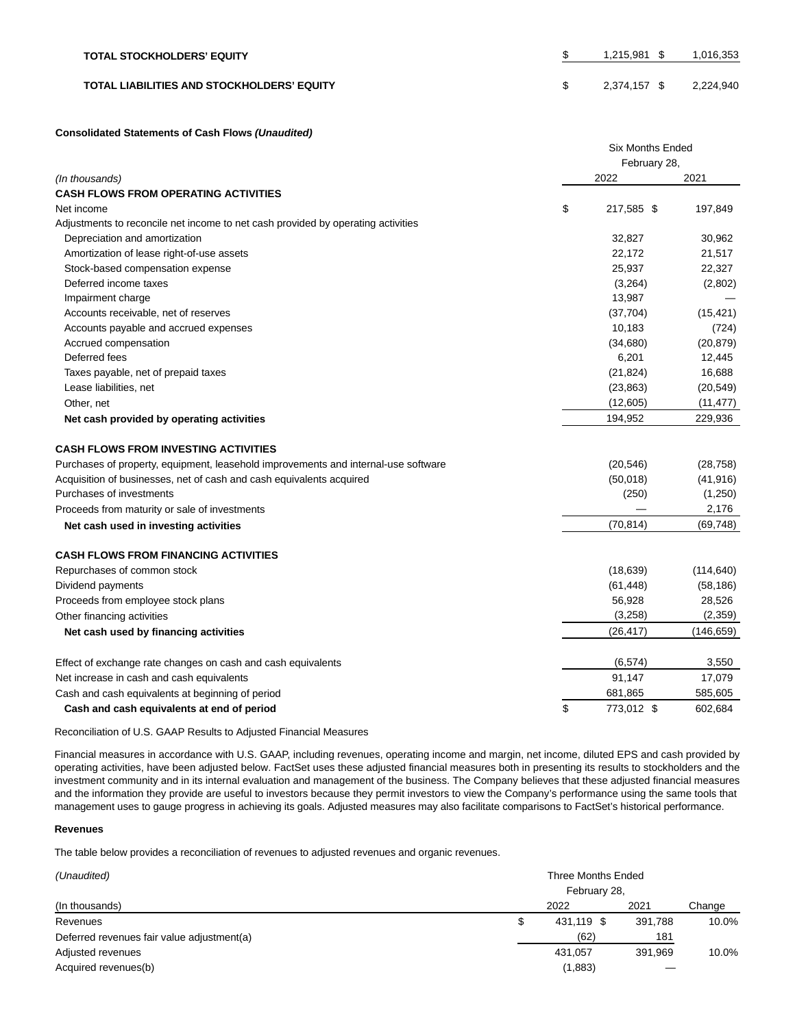| <b>TOTAL STOCKHOLDERS' EQUITY</b>                 | 1.215.981 \$ | 1,016,353 |
|---------------------------------------------------|--------------|-----------|
| <b>TOTAL LIABILITIES AND STOCKHOLDERS' EQUITY</b> | 2,374,157 \$ | 2,224,940 |

#### **Consolidated Statements of Cash Flows (Unaudited)**

|                                                                                    | <b>Six Months Ended</b> |              |            |  |  |  |
|------------------------------------------------------------------------------------|-------------------------|--------------|------------|--|--|--|
|                                                                                    |                         | February 28, |            |  |  |  |
| (In thousands)                                                                     |                         | 2022         | 2021       |  |  |  |
| <b>CASH FLOWS FROM OPERATING ACTIVITIES</b>                                        |                         |              |            |  |  |  |
| Net income                                                                         | \$                      | 217,585 \$   | 197,849    |  |  |  |
| Adjustments to reconcile net income to net cash provided by operating activities   |                         |              |            |  |  |  |
| Depreciation and amortization                                                      |                         | 32,827       | 30,962     |  |  |  |
| Amortization of lease right-of-use assets                                          |                         | 22,172       | 21,517     |  |  |  |
| Stock-based compensation expense                                                   |                         | 25,937       | 22,327     |  |  |  |
| Deferred income taxes                                                              |                         | (3,264)      | (2,802)    |  |  |  |
| Impairment charge                                                                  |                         | 13,987       |            |  |  |  |
| Accounts receivable, net of reserves                                               |                         | (37,704)     | (15, 421)  |  |  |  |
| Accounts payable and accrued expenses                                              |                         | 10,183       | (724)      |  |  |  |
| Accrued compensation                                                               |                         | (34,680)     | (20, 879)  |  |  |  |
| Deferred fees                                                                      |                         | 6,201        | 12,445     |  |  |  |
| Taxes payable, net of prepaid taxes                                                |                         | (21, 824)    | 16,688     |  |  |  |
| Lease liabilities, net                                                             |                         | (23, 863)    | (20, 549)  |  |  |  |
| Other, net                                                                         |                         | (12,605)     | (11, 477)  |  |  |  |
| Net cash provided by operating activities                                          |                         | 194,952      | 229,936    |  |  |  |
| <b>CASH FLOWS FROM INVESTING ACTIVITIES</b>                                        |                         |              |            |  |  |  |
| Purchases of property, equipment, leasehold improvements and internal-use software |                         | (20, 546)    | (28, 758)  |  |  |  |
| Acquisition of businesses, net of cash and cash equivalents acquired               |                         | (50,018)     | (41, 916)  |  |  |  |
| Purchases of investments                                                           |                         | (250)        | (1,250)    |  |  |  |
| Proceeds from maturity or sale of investments                                      |                         |              | 2,176      |  |  |  |
| Net cash used in investing activities                                              |                         | (70, 814)    | (69, 748)  |  |  |  |
| <b>CASH FLOWS FROM FINANCING ACTIVITIES</b>                                        |                         |              |            |  |  |  |
| Repurchases of common stock                                                        |                         | (18, 639)    | (114, 640) |  |  |  |
| Dividend payments                                                                  |                         | (61, 448)    | (58, 186)  |  |  |  |
| Proceeds from employee stock plans                                                 |                         | 56,928       | 28,526     |  |  |  |
| Other financing activities                                                         |                         | (3,258)      | (2,359)    |  |  |  |
| Net cash used by financing activities                                              |                         | (26, 417)    | (146, 659) |  |  |  |
| Effect of exchange rate changes on cash and cash equivalents                       |                         | (6, 574)     | 3,550      |  |  |  |
| Net increase in cash and cash equivalents                                          |                         | 91,147       | 17,079     |  |  |  |
| Cash and cash equivalents at beginning of period                                   |                         | 681,865      | 585,605    |  |  |  |
| Cash and cash equivalents at end of period                                         | \$                      | 773,012 \$   | 602,684    |  |  |  |

Reconciliation of U.S. GAAP Results to Adjusted Financial Measures

Financial measures in accordance with U.S. GAAP, including revenues, operating income and margin, net income, diluted EPS and cash provided by operating activities, have been adjusted below. FactSet uses these adjusted financial measures both in presenting its results to stockholders and the investment community and in its internal evaluation and management of the business. The Company believes that these adjusted financial measures and the information they provide are useful to investors because they permit investors to view the Company's performance using the same tools that management uses to gauge progress in achieving its goals. Adjusted measures may also facilitate comparisons to FactSet's historical performance.

## **Revenues**

The table below provides a reconciliation of revenues to adjusted revenues and organic revenues.

| (Unaudited)                                | Three Months Ended<br>February 28, |            |         |        |  |  |  |
|--------------------------------------------|------------------------------------|------------|---------|--------|--|--|--|
| (In thousands)                             |                                    | 2022       | 2021    | Change |  |  |  |
| Revenues                                   |                                    | 431.119 \$ | 391,788 | 10.0%  |  |  |  |
| Deferred revenues fair value adjustment(a) |                                    | (62)       | 181     |        |  |  |  |
| Adjusted revenues                          |                                    | 431,057    | 391,969 | 10.0%  |  |  |  |
| Acquired revenues(b)                       |                                    | (1,883)    |         |        |  |  |  |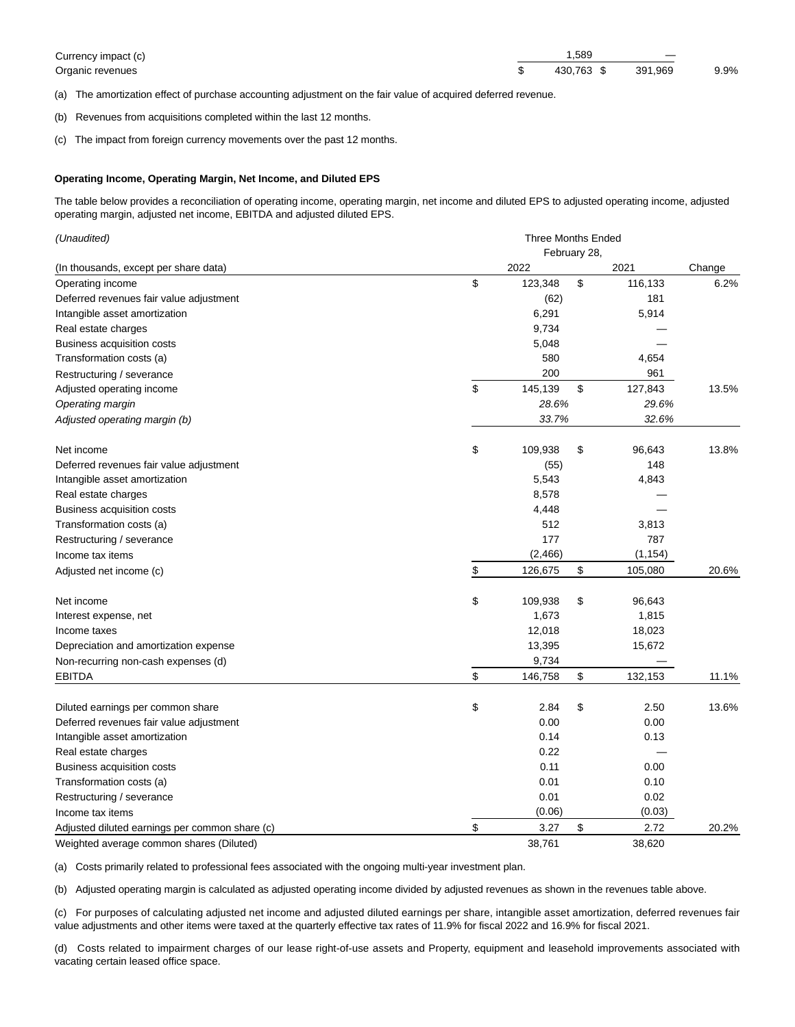| Currency impact (c) | .589              | $\overline{\phantom{a}}$ |      |
|---------------------|-------------------|--------------------------|------|
| Organic revenues    | 430.763 \$391.969 |                          | 9.9% |

(a) The amortization effect of purchase accounting adjustment on the fair value of acquired deferred revenue.

(b) Revenues from acquisitions completed within the last 12 months.

(c) The impact from foreign currency movements over the past 12 months.

## **Operating Income, Operating Margin, Net Income, and Diluted EPS**

The table below provides a reconciliation of operating income, operating margin, net income and diluted EPS to adjusted operating income, adjusted operating margin, adjusted net income, EBITDA and adjusted diluted EPS.

| (Unaudited)                                    | <b>Three Months Ended</b> |              |    |          |        |
|------------------------------------------------|---------------------------|--------------|----|----------|--------|
|                                                |                           | February 28, |    |          |        |
| (In thousands, except per share data)          |                           | 2022         |    | 2021     | Change |
| Operating income                               | \$                        | 123,348      | \$ | 116,133  | 6.2%   |
| Deferred revenues fair value adjustment        |                           | (62)         |    | 181      |        |
| Intangible asset amortization                  |                           | 6,291        |    | 5,914    |        |
| Real estate charges                            |                           | 9,734        |    |          |        |
| Business acquisition costs                     |                           | 5,048        |    |          |        |
| Transformation costs (a)                       |                           | 580          |    | 4,654    |        |
| Restructuring / severance                      |                           | 200          |    | 961      |        |
| Adjusted operating income                      | \$                        | 145,139      | \$ | 127,843  | 13.5%  |
| Operating margin                               |                           | 28.6%        |    | 29.6%    |        |
| Adjusted operating margin (b)                  |                           | 33.7%        |    | 32.6%    |        |
| Net income                                     | \$                        | 109,938      | \$ | 96,643   | 13.8%  |
| Deferred revenues fair value adjustment        |                           | (55)         |    | 148      |        |
| Intangible asset amortization                  |                           | 5,543        |    | 4,843    |        |
| Real estate charges                            |                           | 8,578        |    |          |        |
| Business acquisition costs                     |                           | 4,448        |    |          |        |
| Transformation costs (a)                       |                           | 512          |    | 3,813    |        |
| Restructuring / severance                      |                           | 177          |    | 787      |        |
| Income tax items                               |                           | (2, 466)     |    | (1, 154) |        |
| Adjusted net income (c)                        | \$                        | 126,675      | \$ | 105,080  | 20.6%  |
| Net income                                     | \$                        | 109,938      | \$ | 96,643   |        |
| Interest expense, net                          |                           | 1,673        |    | 1,815    |        |
| Income taxes                                   |                           | 12,018       |    | 18,023   |        |
| Depreciation and amortization expense          |                           | 13,395       |    | 15,672   |        |
| Non-recurring non-cash expenses (d)            |                           | 9,734        |    |          |        |
| <b>EBITDA</b>                                  | \$                        | 146,758      | \$ | 132,153  | 11.1%  |
| Diluted earnings per common share              | \$                        | 2.84         | \$ | 2.50     | 13.6%  |
| Deferred revenues fair value adjustment        |                           | 0.00         |    | 0.00     |        |
| Intangible asset amortization                  |                           | 0.14         |    | 0.13     |        |
| Real estate charges                            |                           | 0.22         |    |          |        |
| Business acquisition costs                     |                           | 0.11         |    | 0.00     |        |
| Transformation costs (a)                       |                           | 0.01         |    | 0.10     |        |
| Restructuring / severance                      |                           | 0.01         |    | 0.02     |        |
| Income tax items                               |                           | (0.06)       |    | (0.03)   |        |
| Adjusted diluted earnings per common share (c) | \$                        | 3.27         | \$ | 2.72     | 20.2%  |
| Weighted average common shares (Diluted)       |                           | 38,761       |    | 38,620   |        |

(a) Costs primarily related to professional fees associated with the ongoing multi-year investment plan.

(b) Adjusted operating margin is calculated as adjusted operating income divided by adjusted revenues as shown in the revenues table above.

(c) For purposes of calculating adjusted net income and adjusted diluted earnings per share, intangible asset amortization, deferred revenues fair value adjustments and other items were taxed at the quarterly effective tax rates of 11.9% for fiscal 2022 and 16.9% for fiscal 2021.

(d) Costs related to impairment charges of our lease right-of-use assets and Property, equipment and leasehold improvements associated with vacating certain leased office space.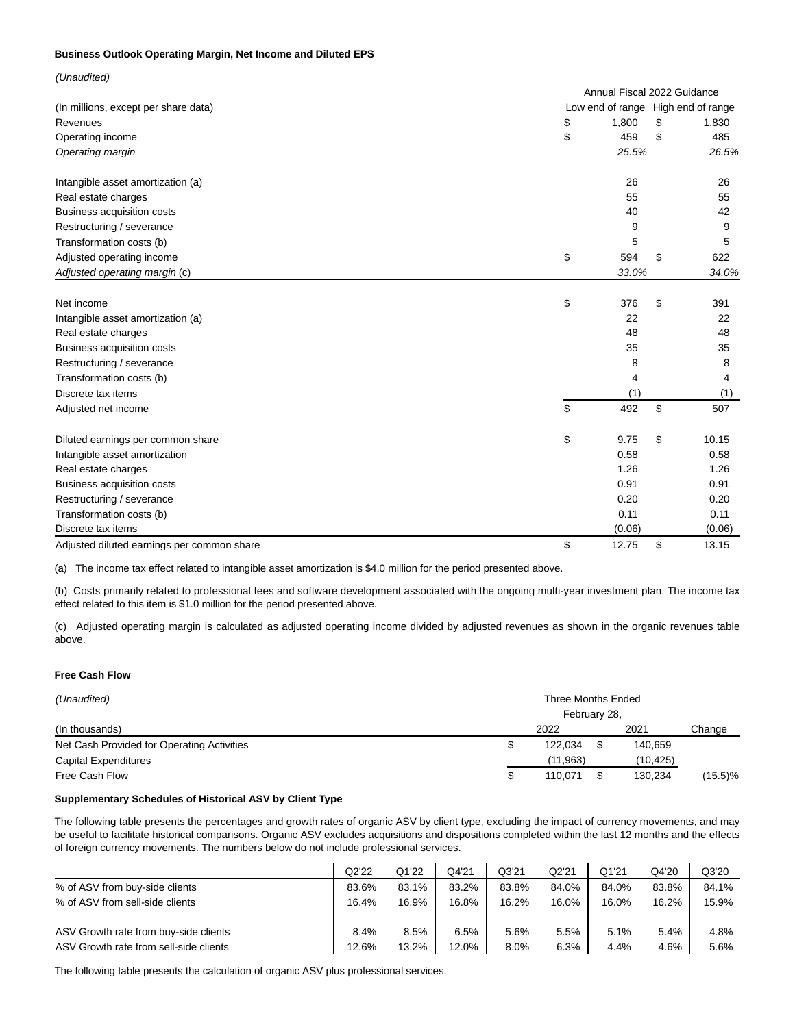## **Business Outlook Operating Margin, Net Income and Diluted EPS**

| (Unaudited)                                |                                    |       |             |
|--------------------------------------------|------------------------------------|-------|-------------|
|                                            | Annual Fiscal 2022 Guidance        |       |             |
| (In millions, except per share data)       | Low end of range High end of range |       |             |
| Revenues                                   | 1,800<br>\$                        |       | \$<br>1,830 |
| Operating income                           | \$                                 | 459   | \$<br>485   |
| Operating margin                           |                                    | 25.5% | 26.5%       |
| Intangible asset amortization (a)          |                                    | 26    | 26          |
| Real estate charges                        |                                    | 55    | 55          |
| Business acquisition costs                 |                                    | 40    | 42          |
| Restructuring / severance                  |                                    | 9     | 9           |
| Transformation costs (b)                   |                                    | 5     | 5           |
| Adjusted operating income                  | \$                                 | 594   | \$<br>622   |
| Adjusted operating margin (c)              |                                    | 33.0% | 34.0%       |
| Net income                                 | \$                                 | 376   | \$<br>391   |
| Intangible asset amortization (a)          |                                    | 22    | 22          |
| Real estate charges                        |                                    | 48    | 48          |
| Business acquisition costs                 |                                    | 35    | 35          |
| Restructuring / severance                  |                                    | 8     | 8           |
| Transformation costs (b)                   |                                    | 4     | 4           |
| Discrete tax items                         |                                    | (1)   | (1)         |
| Adjusted net income                        | \$                                 | 492   | \$<br>507   |
| Diluted earnings per common share          | \$<br>9.75                         |       | \$<br>10.15 |
| Intangible asset amortization              | 0.58                               |       | 0.58        |
| Real estate charges                        | 1.26                               |       | 1.26        |
| <b>Business acquisition costs</b>          | 0.91                               |       | 0.91        |
| Restructuring / severance                  | 0.20                               |       | 0.20        |
| Transformation costs (b)                   |                                    | 0.11  | 0.11        |
| Discrete tax items                         | (0.06)                             |       | (0.06)      |
| Adjusted diluted earnings per common share | \$<br>12.75                        |       | \$<br>13.15 |

(a) The income tax effect related to intangible asset amortization is \$4.0 million for the period presented above.

(b) Costs primarily related to professional fees and software development associated with the ongoing multi-year investment plan. The income tax effect related to this item is \$1.0 million for the period presented above.

(c) Adjusted operating margin is calculated as adjusted operating income divided by adjusted revenues as shown in the organic revenues table above.

## **Free Cash Flow**

| (Unaudited)                                | Three Months Ended |          |  |          |            |  |  |
|--------------------------------------------|--------------------|----------|--|----------|------------|--|--|
|                                            | February 28,       |          |  |          |            |  |  |
| (In thousands)                             |                    | 2022     |  | 2021     | Change     |  |  |
| Net Cash Provided for Operating Activities |                    | 122.034  |  | 140,659  |            |  |  |
| <b>Capital Expenditures</b>                |                    | (11.963) |  | (10,425) |            |  |  |
| Free Cash Flow                             | S                  | 110.071  |  | 130.234  | $(15.5)\%$ |  |  |

## **Supplementary Schedules of Historical ASV by Client Type**

The following table presents the percentages and growth rates of organic ASV by client type, excluding the impact of currency movements, and may be useful to facilitate historical comparisons. Organic ASV excludes acquisitions and dispositions completed within the last 12 months and the effects of foreign currency movements. The numbers below do not include professional services.

|                                        | Q2'22 | Q1'22 | Q4'21 | Q3'21 | Q2'21 | Q1'21 | Q4'20 | Q3'20 |
|----------------------------------------|-------|-------|-------|-------|-------|-------|-------|-------|
| % of ASV from buy-side clients         | 83.6% | 83.1% | 83.2% | 83.8% | 84.0% | 84.0% | 83.8% | 84.1% |
| % of ASV from sell-side clients        | 16.4% | 16.9% | 16.8% | 16.2% | 16.0% | 16.0% | 16.2% | 15.9% |
| ASV Growth rate from buy-side clients  | 8.4%  | 8.5%  | 6.5%  | 5.6%  | 5.5%  | 5.1%  | 5.4%  | 4.8%  |
| ASV Growth rate from sell-side clients | 12.6% | 13.2% | 12.0% | 8.0%  | 6.3%  | 4.4%  | 4.6%  | 5.6%  |

The following table presents the calculation of organic ASV plus professional services.